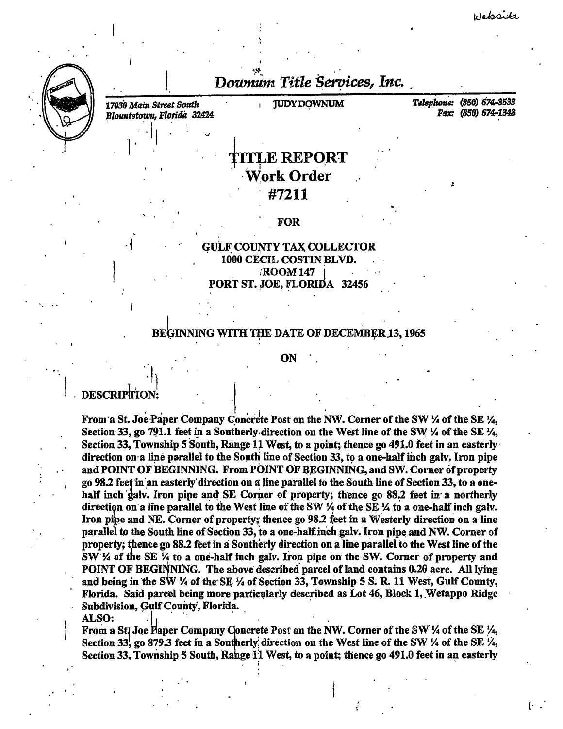(.



Downum Title Services, Inc.

*17030 Main Street South Blountstown, Floritla* .32424 . . . · l <sup>1</sup>

*•J* 

 $\Gamma$   $\sim$  .

TUDY DOWNUM Telephone: (850) 674-3533 Fax: (850) 674-1343

> ~ .

## **TTLE REPORT** Work Order #7211

#### . FOR

# GULF COUNTY TAX COLLECTOR<br>1000 CECIL COSTIN BLVD. **ROOM 147** PORT ST. JOE, FLORIDA 32456

#### BEGINNING WITH THE DATE OF DECEMBER 13, 1965

#### ON

### DESCRIPTION:

. ' . . · I 1 '

(  $\alpha$  ) is a set of  $\alpha$  in  $\alpha$  is a set of  $\alpha$  in  $\alpha$  is a set of  $\alpha$ From a St. Joe Paper Company Concrete Post on the NW. Corner of the SW ¼ of the SE ¼, Section 33, go 791.1 feet in a Southerly direction on the West line of the SW  $\frac{1}{4}$  of the SE  $\frac{1}{4}$ , Section 33, Township 5 South, Range 11 West, to a point; thence go 491.0 feet in an easterly direction on a line parallel to the South line of Section 33, to a one-half inch galv. Iron pipe and POINT OF BEGINNING. From POINT OF BEGINNING, and SW. Corner of property go 98.2 feet in an easterly direction on a line parallel to the South line of Section 33, to a onehalf inch galv. Iron pipe and SE Corner of property; thence go 88.2 feet in a northerly direction on a line parallel to the West line of the SW  $\frac{1}{4}$  of the SE  $\frac{1}{4}$  to a one-half inch galv. Iron pipe and NE. Corner of property; thence go 98.2 feet in a Westerly direction on a line parallel to the South line of Section 33, to a one-half inch galv. Iron pipe and NW. Corner of property; thence go 88.2 feet in a Southerly direction on a line parallel to the West line of the SW % of the SE % to a one-half inch galv. Iron pipe on the SW. Corner of property and POINT OF BEGINNING. The above described parcel of land contains 0.20 acre. All lying and being in the SW  $\%$  of the SE  $\%$  of Section 33, Township 5 S. R. 11 West, Gulf County, Florida. Said parcel being more particularly described as Lot 46, Block 1, Wetappo Ridge Subdivision, Gulf County, Florida.

### $\text{ALSO:} \quad | \quad | \quad |$

From a St. Joe Faper Company Concrete Post on the NW. Corner of the SW 1/4 of the SE 1/4, Section 33, go 879.3 feet in a Southerly direction on the West line of the SW  $\frac{1}{4}$  of the SE  $\frac{1}{4}$ , Section 33, Township 5 South, Range 11 West, to a point; thence go 491.0 feet in an easterly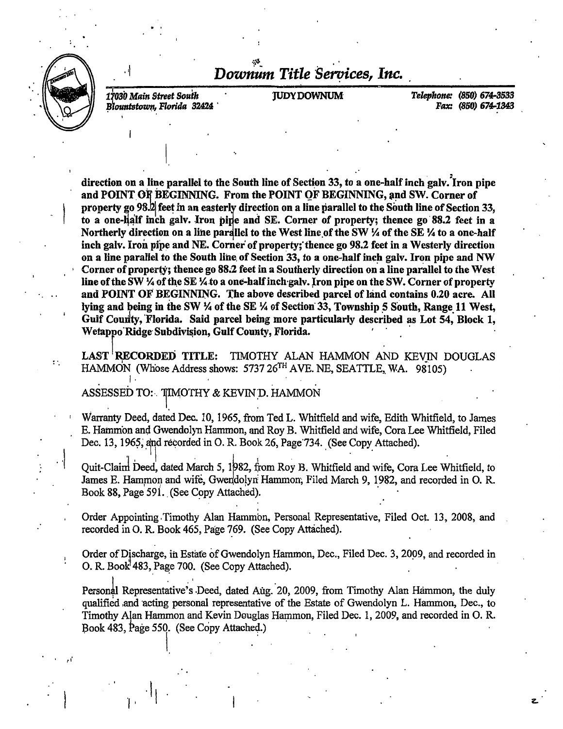

 $\cdot \nmid$ 

 $\mathbb{R}^n$ 

,,·

 $\begin{bmatrix} 1 & 1 \ 1 & 1 \end{bmatrix}$ 

i • I 17030 Main Street *South*  $B$ lountstown, Florida 32424

*Downum Title Se"?ices, Inc.* 

 $\mathcal{P}_1$ 

JUDY DOWNUM *Telephone:* (850) *674-3533 Pax:* (850) *674-1848* 

direction on a line parallel to the South line of Section 33, to a one-half inch galv. Iron pipe and POINT OF BEGINNING. From the POINT OF BEGINNING, and SW. Corner of property go 98.2 feet in an easterly direction on a line parallel to the South line of Section 33, to a one-half inch galv. Iron pipe and SE. Corner of property; thence go 88.2 feet in a Northerly direction on a line parallel to the West line of the SW  $\frac{1}{4}$  of the SE  $\frac{1}{4}$  to a one-half inch galv. Iron pipe and NE. Corner of property; thence go 98.2 feet in a Westerly direction on a line parallel to the South line of Section 33, to a one-half inch galv. Iron pipe and NW Corner of property; thence go 88.2 feet in a Southerly direction on a line parallel to the West line of the SW  $\frac{1}{4}$  of the SE  $\frac{1}{4}$  to a one-half inch galv. Iron pipe on the SW. Corner of property and POINT OF BEGINNING. The above described parcel of land contains 0.20 acre. All lying and being in the SW  $\frac{1}{4}$  of the SE  $\frac{1}{4}$  of Section 33, Township 5 South, Range 11 West, Gulf Coudty, 'Florida. Said parcel being more particularly described as Lot 54, Block 1, Wetappo Ridge Subdivision, Gulf County, Florida.

LAST RECORDED TITLE: TIMOTHY ALAN HAMMON AND KEVIN DOUGLAS HAMMON (Whose Address shows: 5737 26<sup>TH</sup> AVE. NE, SEATTLE, WA. 98105)

I. . . ASSESSED TO:-. TIMOTHY & KEVIN D. HAMMON

' Warranty Deed, dated Dec. 10, 1965, from Ted L. Whitfield and wife, Edith Whitfield, to James E. Hammon ang Gwendolyn Hammon, and Roy B. Whitfield and wife, Cora Lee Whitfield, Filed Dec. 13, 1965, and recorded in O. R. Book 26, Page 734. (See Copy Attached).

Quit-Claim Deed, dated March 5, 1982, from Roy B. Whitfield and wife, Cora Lee Whitfield, to James E. Hammon and wife, Gwendolyn Hammon; Filed March 9, 1982, and recorded in O. R. Book 88, Page 591. (See Copy Attached).

. Order Appointing . Timothy Alan Hammon, Personal Representative, Filed Oct. 13, 2008, and recorded in O. R. Book 465, Page 769. (See Copy Attached).

Order of Discharge, in Estate of Gwendolyn Hammon, Dec., Filed Dec. 3, 2009, and recorded in O. R. Book<sup>1</sup>483, Page 700. (See Copy Attached).

Personal Representative's Deed, dated Aug. 20, 2009, from Timothy Alan Hammon, the duly qualified and acting personal representative of the Estate of Gwendolyn L. Hammon, Dec., to Timothy Alan Hammon and Kevin Douglas Hammon, Filed Dec. 1, 2009, and recorded in O. R. Book 483, Page 550. (See Copy Attached.)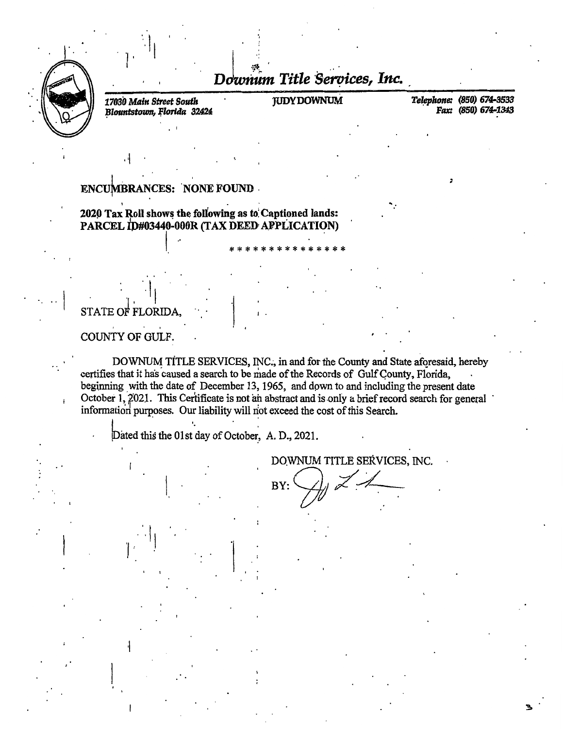

Downum Title Services, Inc.

17030 Main Street South Blountstown, Florida 32424 **IUDY DOWNUM** 

Telephone: (850) 674-3533 Fax: (850) 674-1343

### **ENCUMBRANCES: NONE FOUND**

2020 Tax Roll shows the following as to Captioned lands: PARCEL ID#03440-000R (TAX DEED APPLICATION)

## STATE OF FLORIDA.

COUNTY OF GULF.

DOWNUM TITLE SERVICES, INC., in and for the County and State aforesaid, hereby certifies that it has caused a search to be made of the Records of Gulf County, Florida, beginning with the date of December 13, 1965, and down to and including the present date October 1, 2021. This Certificate is not an abstract and is only a brief record search for general information purposes. Our liability will not exceed the cost of this Search.

Dated this the 01st day of October, A. D., 2021.

DOWNUM TITLE SERVICES, INC.

BY: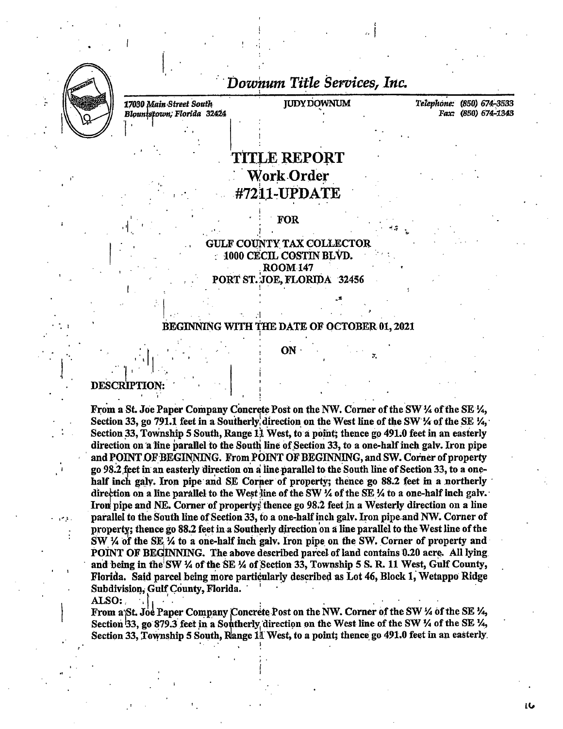

Downum Title Services, Inc.

17030 Main Street South Blountstown, Florida 32424 **JUDY DOWNUM** 

Telephone: (850) 674-3533 Fax: (850) 674-1343

LG

## **TITLE REPORT Work Order** #7211-UPDATE

**FOR** 

**GULF COUNTY TAX COLLECTOR** 1000 CECIL COSTIN BLVD. **ROOM 147** PORT ST. JOE, FLORIDA 32456

#### **BEGINNING WITH THE DATE OF OCTOBER 01, 2021**

ON

**DESCRIPTION** 

From a St. Joe Paper Company Concrete Post on the NW. Corner of the SW 1/4 of the SE 1/4, Section 33, go 791.1 feet in a Southerly direction on the West line of the SW 1/4 of the SE  $\mathcal{V}_1$ . Section 33, Township 5 South, Range 11 West, to a point; thence go 491.0 feet in an easterly direction on a line parallel to the South line of Section 33, to a one-half inch galv. Iron pipe and POINT OF BEGINNING. From POINT OF BEGINNING, and SW. Corner of property go 98.2 feet in an easterly direction on a line parallel to the South line of Section 33, to a onehalf inch galy. Iron pipe and SE Corner of property; thence go 88.2 feet in a northerly direction on a line parallel to the West line of the SW  $\frac{1}{4}$  of the SE  $\frac{1}{4}$  to a one-half inch galv. Iron pipe and NE. Corner of property; thence go 98.2 feet in a Westerly direction on a line parallel to the South line of Section 33, to a one-half inch galv. Iron pipe and NW. Corner of property; thence go 88.2 feet in a Southerly direction on a line parallel to the West line of the SW 1/4 of the SE 1/4 to a one-half inch galv. Iron pipe on the SW. Corner of property and POINT OF BEGINNING. The above described parcel of land contains 0.20 acre. All lying and being in the SW 1/4 of the SE 1/4 of Section 33, Township 5 S. R. 11 West, Gulf County, Florida. Said parcel being more particularly described as Lot 46, Block 1, Wetappo Ridge Subdivision, Gulf County, Florida.

ALSO:

 $\sim$  : .

From a St. Joe Paper Company Concrete Post on the NW. Corner of the SW 1/4 of the SE 1/4, Section 33, go 879.3 feet in a Southerly direction on the West line of the SW 1/4 of the SE 1/4, Section 33, Township 5 South, Range 11 West, to a point; thence go 491.0 feet in an easterly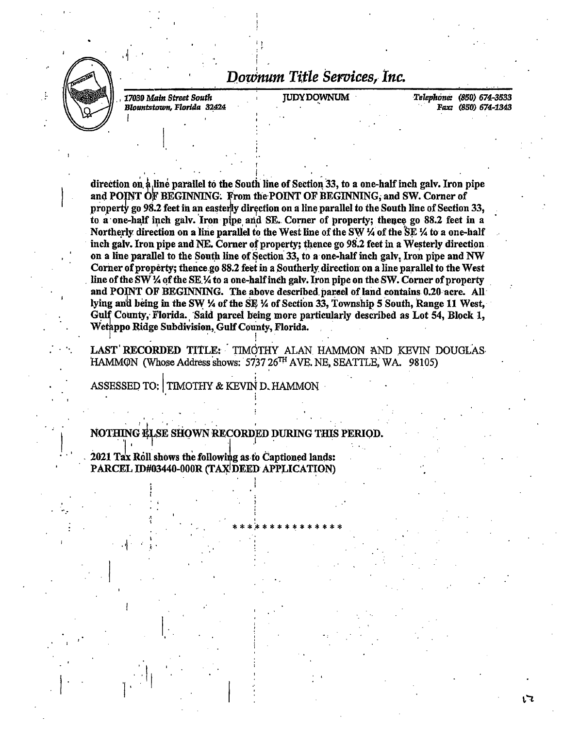

Downum Title Services, Inc.

17030 Main Street South Blountstown, Florida 32424 **JUDY DOWNUM** 

Telephone: (850) 674-3533 Fax: (850) 674-1343

เว

direction on a line parallel to the South line of Section 33, to a one-half inch galv. Iron pipe and POINT OF BEGINNING. From the POINT OF BEGINNING, and SW. Corner of property go 98.2 feet in an easterly direction on a line parallel to the South line of Section 33, to a one-half inch galv. Iron pipe and SE. Corner of property; thence go 88.2 feet in a Northerly direction on a line parallel to the West line of the SW 4 of the SE 14 to a one-half inch galv. Iron pipe and NE. Corner of property; thence go 98.2 feet in a Westerly direction on a line parallel to the South line of Section 33, to a one-half inch galv, Iron pipe and NW Corner of property; thence go 88.2 feet in a Southerly direction on a line parallel to the West line of the SW 1/4 of the SE 1/4 to a one-half inch galv. Iron pipe on the SW. Corner of property and POINT OF BEGINNING. The above described parcel of land contains 0.20 acre. All lying and being in the SW 1/4 of the SE 1/4 of Section 33, Township 5 South, Range 11 West, Gulf County, Florida. Said parcel being more particularly described as Lot 54, Block 1, Wetappo Ridge Subdivision, Gulf County, Florida.

LAST RECORDED TITLE: TIMOTHY ALAN HAMMON AND KEVIN DOUGLAS HAMMON (Whose Address shows: 5737 26<sup>TH</sup> AVE, NE, SEATTLE, WA. 98105)

ASSESSED TO: TIMOTHY & KEVIN D. HAMMON

NOTHING ELSE SHOWN RECORDED DURING THIS PERIOD.

2021 Tax Roll shows the following as to Captioned lands: PARCEL ID#03440-000R (TAX DEED APPLICATION)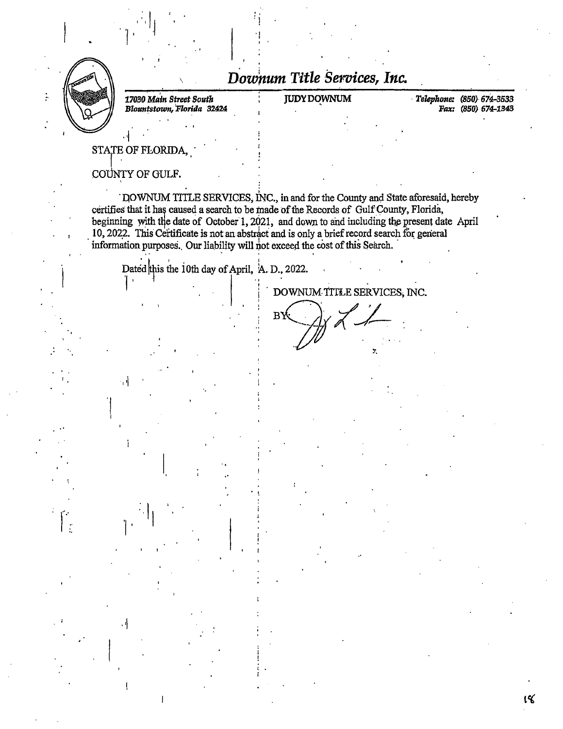

*Downum Title Seroices, Inc.* 

 $: \mathcal{C}$ ! ·I I I .<br>.<br>.

*17030 Main Street South Blountstown, 'Florida* 32424

\

..

JUDYDqWNUM · *Telephone: (850)* 674-3533 Pax: (850) 674-1343

ı۷

STATE OF FLORIDA

··I

COUNTY OF GULF.

1.

. DOWNUM TITLE SERVICES, INC., in and for the County and State aforesaid, hereby certifies that it has caused a search to be made of the Records of Gulf County, Florida, beginning with the date of October 1, 2021, and down to and including the present date April 10, 2022. This Certificate is not an abstract and is only a brief record search for general information purposes. Our liability will not exceed the cost of this Search.

Dated this the 10th day of April, A. D., 2022.

 $\cdot \cdot$ 

 $\mathbf{i}$ '

DOWNUM TITLE SERVICES, INC. ...